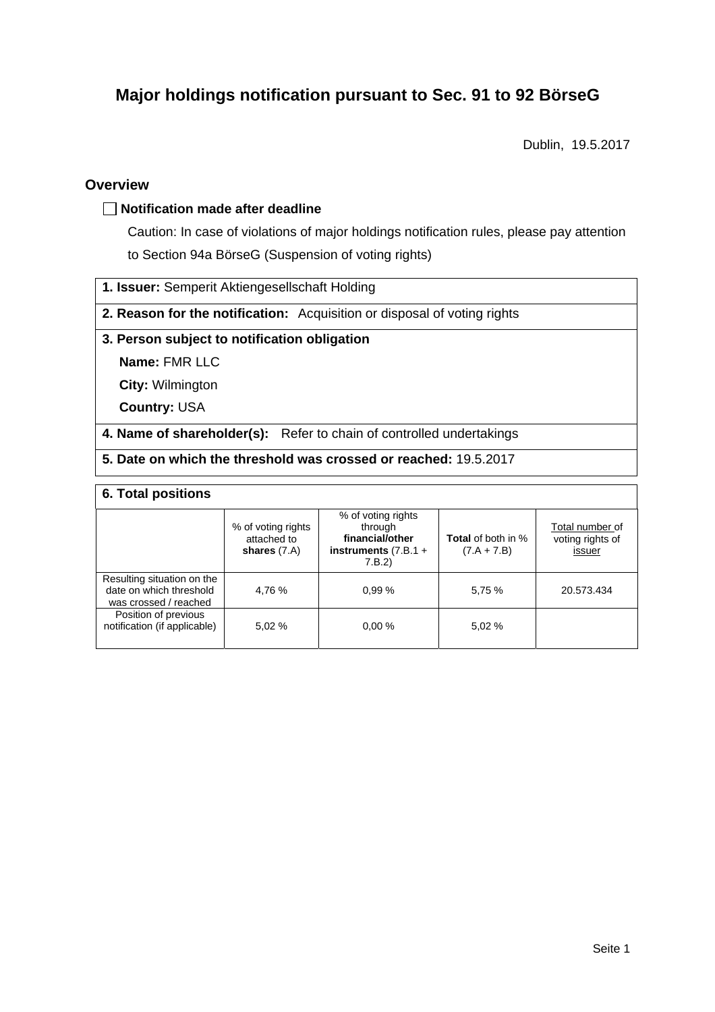# **Major holdings notification pursuant to Sec. 91 to 92 BörseG**

Dublin, 19.5.2017

### **Overview**

### **Notification made after deadline**

Caution: In case of violations of major holdings notification rules, please pay attention to Section 94a BörseG (Suspension of voting rights)

**1. Issuer:** Semperit Aktiengesellschaft Holding

**2. Reason for the notification:** Acquisition or disposal of voting rights

### **3. Person subject to notification obligation**

**Name:** FMR LLC

**City:** Wilmington

**Country:** USA

**4. Name of shareholder(s):** Refer to chain of controlled undertakings

**5. Date on which the threshold was crossed or reached:** 19.5.2017

### **6. Total positions**

|                                                                                | % of voting rights<br>attached to<br>shares $(7.A)$ | % of voting rights<br>through<br>financial/other<br>instruments $(7.B.1 +$<br>7.B.2 | <b>Total</b> of both in %<br>$(7.A + 7.B)$ | Total number of<br>voting rights of<br>issuer |  |  |
|--------------------------------------------------------------------------------|-----------------------------------------------------|-------------------------------------------------------------------------------------|--------------------------------------------|-----------------------------------------------|--|--|
| Resulting situation on the<br>date on which threshold<br>was crossed / reached | 4,76 %                                              | 0.99%                                                                               | 5,75 %                                     | 20.573.434                                    |  |  |
| Position of previous<br>notification (if applicable)                           | 5.02 %                                              | 0.00%                                                                               | 5.02 %                                     |                                               |  |  |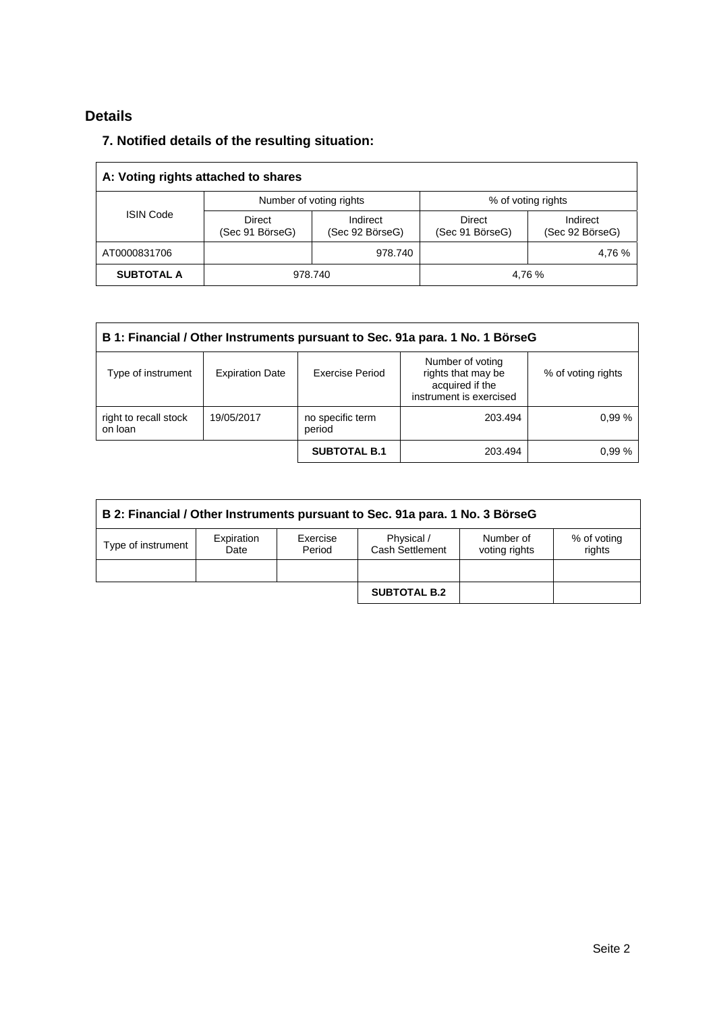## **Details**

### **7. Notified details of the resulting situation:**

| A: Voting rights attached to shares |                           |                             |                                  |                             |  |
|-------------------------------------|---------------------------|-----------------------------|----------------------------------|-----------------------------|--|
| <b>ISIN Code</b>                    |                           | Number of voting rights     | % of voting rights               |                             |  |
|                                     | Direct<br>(Sec 91 BörseG) | Indirect<br>(Sec 92 BörseG) | <b>Direct</b><br>(Sec 91 BörseG) | Indirect<br>(Sec 92 BörseG) |  |
| AT0000831706                        |                           | 978.740                     |                                  | 4,76 %                      |  |
| <b>SUBTOTAL A</b>                   | 978.740                   |                             | 4.76 %                           |                             |  |

| B 1: Financial / Other Instruments pursuant to Sec. 91a para. 1 No. 1 BörseG |                        |                            |                                                                                      |                    |  |
|------------------------------------------------------------------------------|------------------------|----------------------------|--------------------------------------------------------------------------------------|--------------------|--|
| Type of instrument                                                           | <b>Expiration Date</b> | Exercise Period            | Number of voting<br>rights that may be<br>acquired if the<br>instrument is exercised | % of voting rights |  |
| right to recall stock<br>on loan                                             | 19/05/2017             | no specific term<br>period | 203.494                                                                              | 0.99%              |  |
|                                                                              |                        | <b>SUBTOTAL B.1</b>        | 203.494                                                                              | 0.99%              |  |

| B 2: Financial / Other Instruments pursuant to Sec. 91a para. 1 No. 3 BörseG |                    |                    |                               |                            |                       |
|------------------------------------------------------------------------------|--------------------|--------------------|-------------------------------|----------------------------|-----------------------|
| Type of instrument                                                           | Expiration<br>Date | Exercise<br>Period | Physical /<br>Cash Settlement | Number of<br>voting rights | % of voting<br>rights |
|                                                                              |                    |                    |                               |                            |                       |
|                                                                              |                    |                    | <b>SUBTOTAL B.2</b>           |                            |                       |